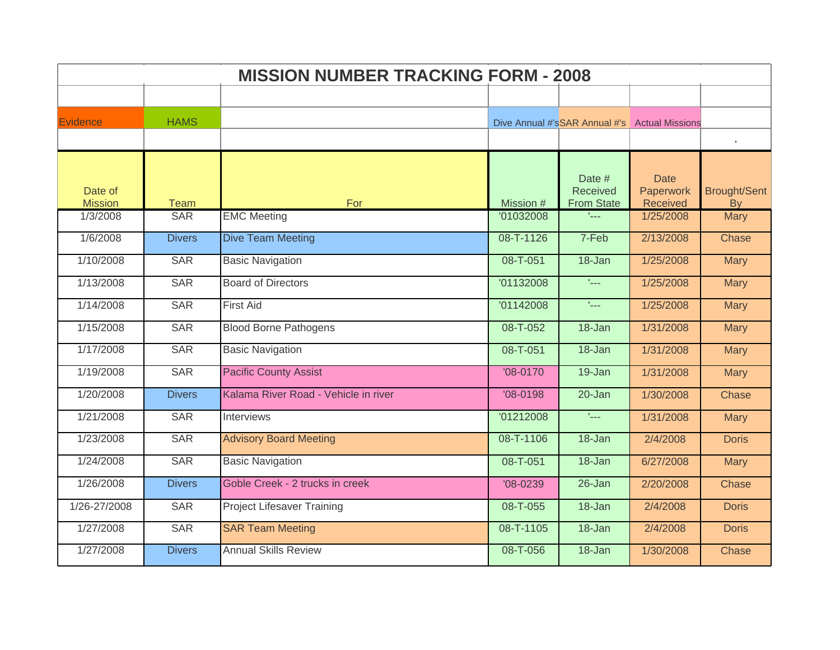| <b>MISSION NUMBER TRACKING FORM - 2008</b> |               |                                      |            |                                               |                          |                     |  |  |
|--------------------------------------------|---------------|--------------------------------------|------------|-----------------------------------------------|--------------------------|---------------------|--|--|
|                                            |               |                                      |            |                                               |                          |                     |  |  |
| <b>Evidence</b>                            | <b>HAMS</b>   |                                      |            | Dive Annual #'sSAR Annual #'s Actual Missions |                          |                     |  |  |
|                                            |               |                                      |            |                                               |                          |                     |  |  |
|                                            |               |                                      |            |                                               |                          |                     |  |  |
| Date of                                    |               |                                      |            | Date #<br>Received                            | <b>Date</b><br>Paperwork | <b>Brought/Sent</b> |  |  |
| <b>Mission</b>                             | <b>Team</b>   | For                                  | Mission #  | <b>From State</b>                             | Received                 | <b>By</b>           |  |  |
| 1/3/2008                                   | <b>SAR</b>    | <b>EMC Meeting</b>                   | '01032008  | t <sub>an</sub>                               | 1/25/2008                | <b>Mary</b>         |  |  |
| 1/6/2008                                   | <b>Divers</b> | <b>Dive Team Meeting</b>             | 08-T-1126  | 7-Feb                                         | 2/13/2008                | Chase               |  |  |
| 1/10/2008                                  | <b>SAR</b>    | <b>Basic Navigation</b>              | 08-T-051   | 18-Jan                                        | 1/25/2008                | <b>Mary</b>         |  |  |
| 1/13/2008                                  | <b>SAR</b>    | <b>Board of Directors</b>            | '01132008  | $L_{\rm max}$                                 | 1/25/2008                | Mary                |  |  |
| 1/14/2008                                  | <b>SAR</b>    | <b>First Aid</b>                     | '01142008  | $L_{\rm max}$                                 | 1/25/2008                | <b>Mary</b>         |  |  |
| 1/15/2008                                  | <b>SAR</b>    | <b>Blood Borne Pathogens</b>         | 08-T-052   | 18-Jan                                        | 1/31/2008                | <b>Mary</b>         |  |  |
| 1/17/2008                                  | <b>SAR</b>    | <b>Basic Navigation</b>              | 08-T-051   | 18-Jan                                        | 1/31/2008                | <b>Mary</b>         |  |  |
| 1/19/2008                                  | <b>SAR</b>    | <b>Pacific County Assist</b>         | $'08-0170$ | 19-Jan                                        | 1/31/2008                | <b>Mary</b>         |  |  |
| 1/20/2008                                  | <b>Divers</b> | Kalama River Road - Vehicle in river | $'08-0198$ | 20-Jan                                        | 1/30/2008                | Chase               |  |  |
| 1/21/2008                                  | <b>SAR</b>    | Interviews                           | '01212008  | $L_{\rm max}$                                 | 1/31/2008                | <b>Mary</b>         |  |  |
| 1/23/2008                                  | <b>SAR</b>    | <b>Advisory Board Meeting</b>        | 08-T-1106  | 18-Jan                                        | 2/4/2008                 | <b>Doris</b>        |  |  |
| 1/24/2008                                  | <b>SAR</b>    | <b>Basic Navigation</b>              | 08-T-051   | 18-Jan                                        | 6/27/2008                | <b>Mary</b>         |  |  |
| 1/26/2008                                  | <b>Divers</b> | Goble Creek - 2 trucks in creek      | $'08-0239$ | $26 - Jan$                                    | 2/20/2008                | Chase               |  |  |
| 1/26-27/2008                               | <b>SAR</b>    | <b>Project Lifesaver Training</b>    | 08-T-055   | 18-Jan                                        | 2/4/2008                 | <b>Doris</b>        |  |  |
| 1/27/2008                                  | <b>SAR</b>    | <b>SAR Team Meeting</b>              | 08-T-1105  | 18-Jan                                        | 2/4/2008                 | <b>Doris</b>        |  |  |
| 1/27/2008                                  | <b>Divers</b> | <b>Annual Skills Review</b>          | 08-T-056   | 18-Jan                                        | 1/30/2008                | Chase               |  |  |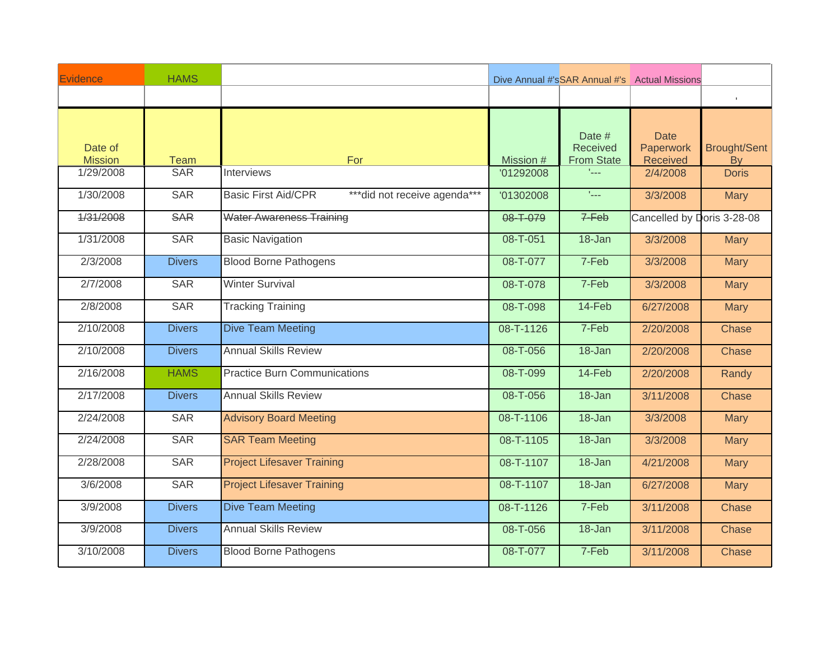| Evidence                  | <b>HAMS</b>   |                                                             |           |                                                | Dive Annual #'sSAR Annual #'s Actual Missions |                                  |
|---------------------------|---------------|-------------------------------------------------------------|-----------|------------------------------------------------|-----------------------------------------------|----------------------------------|
|                           |               |                                                             |           |                                                |                                               | $\mathbb{F}$                     |
| Date of<br><b>Mission</b> | <b>Team</b>   | For                                                         | Mission # | Date #<br><b>Received</b><br><b>From State</b> | <b>Date</b><br>Paperwork<br>Received          | <b>Brought/Sent</b><br><b>By</b> |
| 1/29/2008                 | <b>SAR</b>    | <b>Interviews</b>                                           | '01292008 | tica.                                          | 2/4/2008                                      | <b>Doris</b>                     |
| 1/30/2008                 | <b>SAR</b>    | <b>Basic First Aid/CPR</b><br>*** did not receive agenda*** | '01302008 | $\mathcal{L}_{\text{max}}$                     | 3/3/2008                                      | <b>Mary</b>                      |
| 1/31/2008                 | <b>SAR</b>    | <b>Water Awareness Training</b>                             | 08-T-079  | $7-Feb$                                        | Cancelled by Doris 3-28-08                    |                                  |
| 1/31/2008                 | <b>SAR</b>    | <b>Basic Navigation</b>                                     | 08-T-051  | 18-Jan                                         | 3/3/2008                                      | <b>Mary</b>                      |
| 2/3/2008                  | <b>Divers</b> | <b>Blood Borne Pathogens</b>                                | 08-T-077  | 7-Feb                                          | 3/3/2008                                      | <b>Mary</b>                      |
| 2/7/2008                  | <b>SAR</b>    | <b>Winter Survival</b>                                      | 08-T-078  | 7-Feb                                          | 3/3/2008                                      | <b>Mary</b>                      |
| 2/8/2008                  | <b>SAR</b>    | <b>Tracking Training</b>                                    | 08-T-098  | 14-Feb                                         | 6/27/2008                                     | <b>Mary</b>                      |
| 2/10/2008                 | <b>Divers</b> | <b>Dive Team Meeting</b>                                    | 08-T-1126 | 7-Feb                                          | 2/20/2008                                     | Chase                            |
| 2/10/2008                 | <b>Divers</b> | <b>Annual Skills Review</b>                                 | 08-T-056  | 18-Jan                                         | 2/20/2008                                     | Chase                            |
| 2/16/2008                 | <b>HAMS</b>   | <b>Practice Burn Communications</b>                         | 08-T-099  | $14-Feb$                                       | 2/20/2008                                     | Randy                            |
| 2/17/2008                 | <b>Divers</b> | <b>Annual Skills Review</b>                                 | 08-T-056  | 18-Jan                                         | 3/11/2008                                     | Chase                            |
| 2/24/2008                 | <b>SAR</b>    | <b>Advisory Board Meeting</b>                               | 08-T-1106 | 18-Jan                                         | 3/3/2008                                      | <b>Mary</b>                      |
| 2/24/2008                 | <b>SAR</b>    | <b>SAR Team Meeting</b>                                     | 08-T-1105 | $18 - Jan$                                     | 3/3/2008                                      | <b>Mary</b>                      |
| 2/28/2008                 | <b>SAR</b>    | <b>Project Lifesaver Training</b>                           | 08-T-1107 | 18-Jan                                         | 4/21/2008                                     | <b>Mary</b>                      |
| 3/6/2008                  | <b>SAR</b>    | <b>Project Lifesaver Training</b>                           | 08-T-1107 | $18 - Jan$                                     | 6/27/2008                                     | <b>Mary</b>                      |
| 3/9/2008                  | <b>Divers</b> | <b>Dive Team Meeting</b>                                    | 08-T-1126 | 7-Feb                                          | 3/11/2008                                     | Chase                            |
| 3/9/2008                  | <b>Divers</b> | <b>Annual Skills Review</b>                                 | 08-T-056  | 18-Jan                                         | 3/11/2008                                     | Chase                            |
| 3/10/2008                 | <b>Divers</b> | <b>Blood Borne Pathogens</b>                                | 08-T-077  | 7-Feb                                          | 3/11/2008                                     | Chase                            |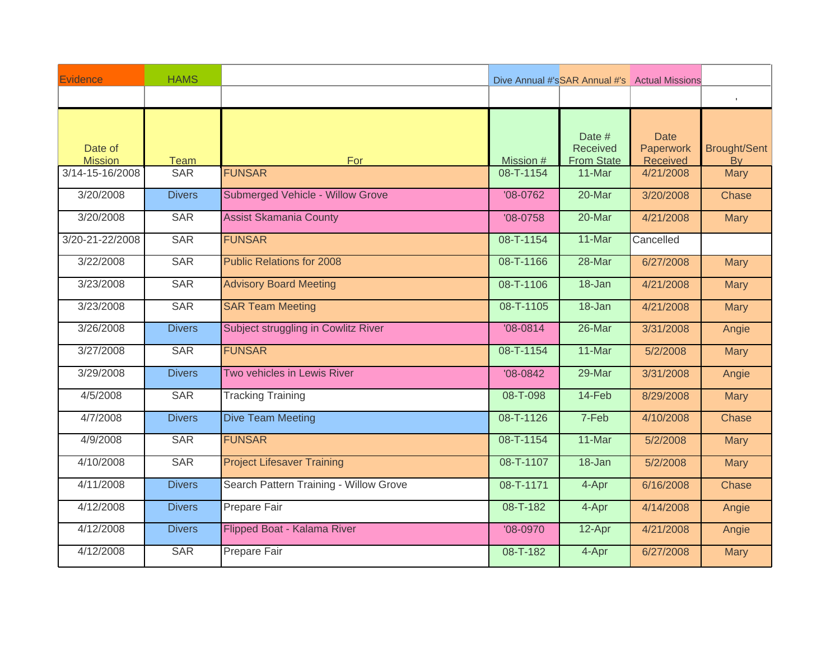| Evidence        | <b>HAMS</b>   |                                         |                 |                           | Dive Annual #'sSAR Annual #'s Actual Missions |                     |
|-----------------|---------------|-----------------------------------------|-----------------|---------------------------|-----------------------------------------------|---------------------|
|                 |               |                                         |                 |                           |                                               | $\mathbb{L}$        |
| Date of         |               |                                         |                 | Date #<br><b>Received</b> | <b>Date</b><br>Paperwork                      | <b>Brought/Sent</b> |
| <b>Mission</b>  | <b>Team</b>   | For                                     | Mission #       | <b>From State</b>         | Received                                      | <b>By</b>           |
| 3/14-15-16/2008 | <b>SAR</b>    | <b>FUNSAR</b>                           | 08-T-1154       | 11-Mar                    | 4/21/2008                                     | Mary                |
| 3/20/2008       | <b>Divers</b> | <b>Submerged Vehicle - Willow Grove</b> | $'08-0762$      | 20-Mar                    | 3/20/2008                                     | Chase               |
| 3/20/2008       | <b>SAR</b>    | <b>Assist Skamania County</b>           | $'08-0758$      | $20$ -Mar                 | 4/21/2008                                     | <b>Mary</b>         |
| 3/20-21-22/2008 | <b>SAR</b>    | <b>FUNSAR</b>                           | 08-T-1154       | 11-Mar                    | Cancelled                                     |                     |
| 3/22/2008       | <b>SAR</b>    | <b>Public Relations for 2008</b>        | 08-T-1166       | 28-Mar                    | 6/27/2008                                     | <b>Mary</b>         |
| 3/23/2008       | <b>SAR</b>    | <b>Advisory Board Meeting</b>           | 08-T-1106       | 18-Jan                    | 4/21/2008                                     | <b>Mary</b>         |
| 3/23/2008       | <b>SAR</b>    | <b>SAR Team Meeting</b>                 | 08-T-1105       | 18-Jan                    | 4/21/2008                                     | <b>Mary</b>         |
| 3/26/2008       | <b>Divers</b> | Subject struggling in Cowlitz River     | $'08-0814$      | 26-Mar                    | 3/31/2008                                     | Angie               |
| 3/27/2008       | <b>SAR</b>    | <b>FUNSAR</b>                           | 08-T-1154       | 11-Mar                    | 5/2/2008                                      | <b>Mary</b>         |
| 3/29/2008       | <b>Divers</b> | Two vehicles in Lewis River             | $'08-0842$      | 29-Mar                    | 3/31/2008                                     | Angie               |
| 4/5/2008        | <b>SAR</b>    | <b>Tracking Training</b>                | 08-T-098        | $14-Feb$                  | 8/29/2008                                     | <b>Mary</b>         |
| 4/7/2008        | <b>Divers</b> | <b>Dive Team Meeting</b>                | 08-T-1126       | 7-Feb                     | 4/10/2008                                     | Chase               |
| 4/9/2008        | <b>SAR</b>    | <b>FUNSAR</b>                           | 08-T-1154       | 11-Mar                    | 5/2/2008                                      | <b>Mary</b>         |
| 4/10/2008       | <b>SAR</b>    | <b>Project Lifesaver Training</b>       | 08-T-1107       | $18 - Jan$                | 5/2/2008                                      | <b>Mary</b>         |
| 4/11/2008       | <b>Divers</b> | Search Pattern Training - Willow Grove  | $08 - T - 1171$ | 4-Apr                     | 6/16/2008                                     | Chase               |
| 4/12/2008       | <b>Divers</b> | Prepare Fair                            | 08-T-182        | 4-Apr                     | 4/14/2008                                     | Angie               |
| 4/12/2008       | <b>Divers</b> | Flipped Boat - Kalama River             | '08-0970        | 12-Apr                    | 4/21/2008                                     | Angie               |
| 4/12/2008       | <b>SAR</b>    | Prepare Fair                            | 08-T-182        | 4-Apr                     | 6/27/2008                                     | <b>Mary</b>         |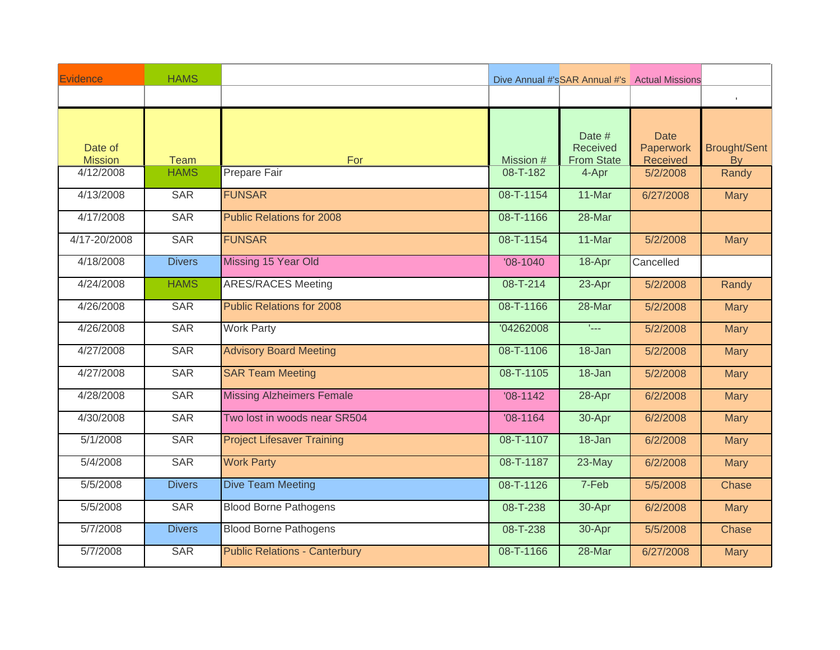| Evidence                  | <b>HAMS</b>   |                                      |            |                                                | Dive Annual #'sSAR Annual #'s Actual Missions |                                  |
|---------------------------|---------------|--------------------------------------|------------|------------------------------------------------|-----------------------------------------------|----------------------------------|
|                           |               |                                      |            |                                                |                                               | $\mathbb{F}^{\times}$            |
| Date of<br><b>Mission</b> | <b>Team</b>   | For                                  | Mission #  | Date #<br><b>Received</b><br><b>From State</b> | <b>Date</b><br>Paperwork<br>Received          | <b>Brought/Sent</b><br><b>By</b> |
| 4/12/2008                 | <b>HAMS</b>   | Prepare Fair                         | 08-T-182   | 4-Apr                                          | 5/2/2008                                      | Randy                            |
| 4/13/2008                 | <b>SAR</b>    | <b>FUNSAR</b>                        | 08-T-1154  | 11-Mar                                         | 6/27/2008                                     | <b>Mary</b>                      |
| 4/17/2008                 | <b>SAR</b>    | <b>Public Relations for 2008</b>     | 08-T-1166  | 28-Mar                                         |                                               |                                  |
| 4/17-20/2008              | <b>SAR</b>    | <b>FUNSAR</b>                        | 08-T-1154  | 11-Mar                                         | 5/2/2008                                      | <b>Mary</b>                      |
| 4/18/2008                 | <b>Divers</b> | Missing 15 Year Old                  | $'08-1040$ | 18-Apr                                         | Cancelled                                     |                                  |
| 4/24/2008                 | <b>HAMS</b>   | <b>ARES/RACES Meeting</b>            | 08-T-214   | 23-Apr                                         | 5/2/2008                                      | Randy                            |
| 4/26/2008                 | <b>SAR</b>    | <b>Public Relations for 2008</b>     | 08-T-1166  | 28-Mar                                         | 5/2/2008                                      | <b>Mary</b>                      |
| 4/26/2008                 | <b>SAR</b>    | <b>Work Party</b>                    | '04262008  | $L_{\rm max}$                                  | 5/2/2008                                      | <b>Mary</b>                      |
| 4/27/2008                 | <b>SAR</b>    | <b>Advisory Board Meeting</b>        | 08-T-1106  | 18-Jan                                         | 5/2/2008                                      | <b>Mary</b>                      |
| 4/27/2008                 | <b>SAR</b>    | <b>SAR Team Meeting</b>              | 08-T-1105  | 18-Jan                                         | 5/2/2008                                      | <b>Mary</b>                      |
| 4/28/2008                 | <b>SAR</b>    | <b>Missing Alzheimers Female</b>     | $'08-1142$ | 28-Apr                                         | 6/2/2008                                      | <b>Mary</b>                      |
| 4/30/2008                 | <b>SAR</b>    | Two lost in woods near SR504         | $'08-1164$ | $30 -$ Apr                                     | 6/2/2008                                      | <b>Mary</b>                      |
| 5/1/2008                  | <b>SAR</b>    | <b>Project Lifesaver Training</b>    | 08-T-1107  | $18 - Jan$                                     | 6/2/2008                                      | <b>Mary</b>                      |
| 5/4/2008                  | <b>SAR</b>    | <b>Work Party</b>                    | 08-T-1187  | 23-May                                         | 6/2/2008                                      | <b>Mary</b>                      |
| 5/5/2008                  | <b>Divers</b> | <b>Dive Team Meeting</b>             | 08-T-1126  | 7-Feb                                          | 5/5/2008                                      | Chase                            |
| 5/5/2008                  | <b>SAR</b>    | <b>Blood Borne Pathogens</b>         | 08-T-238   | 30-Apr                                         | 6/2/2008                                      | <b>Mary</b>                      |
| 5/7/2008                  | <b>Divers</b> | <b>Blood Borne Pathogens</b>         | 08-T-238   | 30-Apr                                         | 5/5/2008                                      | Chase                            |
| 5/7/2008                  | <b>SAR</b>    | <b>Public Relations - Canterbury</b> | 08-T-1166  | 28-Mar                                         | 6/27/2008                                     | <b>Mary</b>                      |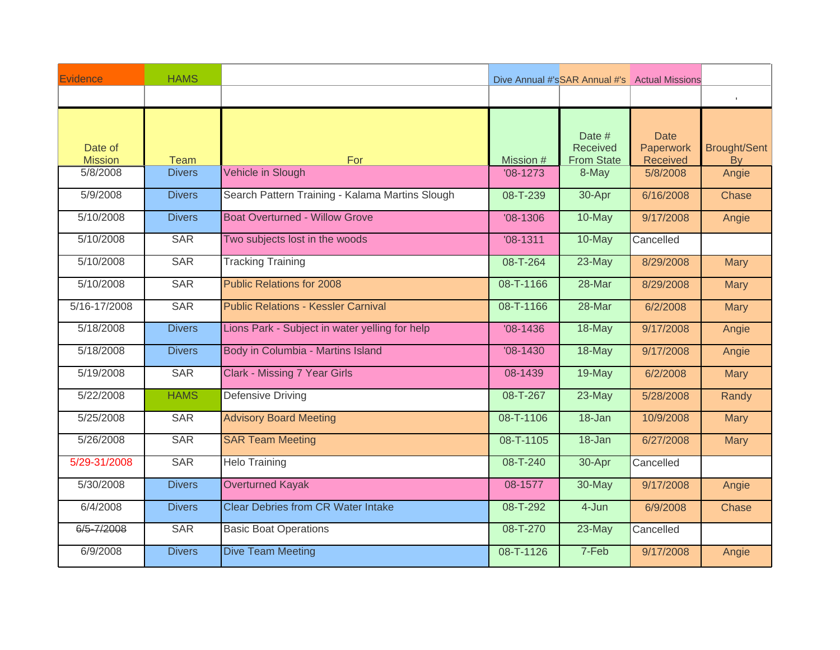| Evidence                  | <b>HAMS</b>   |                                                 |                |                                                | Dive Annual #'sSAR Annual #'s Actual Missions |                                  |
|---------------------------|---------------|-------------------------------------------------|----------------|------------------------------------------------|-----------------------------------------------|----------------------------------|
|                           |               |                                                 |                |                                                |                                               | $\mathbb{F}$                     |
| Date of<br><b>Mission</b> | <b>Team</b>   | For                                             | Mission #      | Date #<br><b>Received</b><br><b>From State</b> | <b>Date</b><br>Paperwork<br>Received          | <b>Brought/Sent</b><br><b>By</b> |
| 5/8/2008                  | <b>Divers</b> | Vehicle in Slough                               | $'08-1273$     | 8-May                                          | 5/8/2008                                      | Angie                            |
| 5/9/2008                  | <b>Divers</b> | Search Pattern Training - Kalama Martins Slough | 08-T-239       | 30-Apr                                         | 6/16/2008                                     | Chase                            |
| 5/10/2008                 | <b>Divers</b> | <b>Boat Overturned - Willow Grove</b>           | $'08-1306$     | 10-May                                         | 9/17/2008                                     | Angie                            |
| 5/10/2008                 | <b>SAR</b>    | Two subjects lost in the woods                  | $'08-1311$     | 10-May                                         | Cancelled                                     |                                  |
| 5/10/2008                 | <b>SAR</b>    | <b>Tracking Training</b>                        | 08-T-264       | 23-May                                         | 8/29/2008                                     | <b>Mary</b>                      |
| 5/10/2008                 | <b>SAR</b>    | <b>Public Relations for 2008</b>                | 08-T-1166      | 28-Mar                                         | 8/29/2008                                     | <b>Mary</b>                      |
| 5/16-17/2008              | <b>SAR</b>    | <b>Public Relations - Kessler Carnival</b>      | 08-T-1166      | 28-Mar                                         | 6/2/2008                                      | <b>Mary</b>                      |
| 5/18/2008                 | <b>Divers</b> | Lions Park - Subject in water yelling for help  | $'08-1436$     | 18-May                                         | 9/17/2008                                     | Angie                            |
| 5/18/2008                 | <b>Divers</b> | Body in Columbia - Martins Island               | $'08-1430$     | 18-May                                         | 9/17/2008                                     | Angie                            |
| 5/19/2008                 | <b>SAR</b>    | <b>Clark - Missing 7 Year Girls</b>             | 08-1439        | 19-May                                         | 6/2/2008                                      | <b>Mary</b>                      |
| 5/22/2008                 | <b>HAMS</b>   | <b>Defensive Driving</b>                        | 08-T-267       | 23-May                                         | 5/28/2008                                     | Randy                            |
| 5/25/2008                 | <b>SAR</b>    | <b>Advisory Board Meeting</b>                   | 08-T-1106      | 18-Jan                                         | 10/9/2008                                     | <b>Mary</b>                      |
| 5/26/2008                 | <b>SAR</b>    | <b>SAR Team Meeting</b>                         | 08-T-1105      | 18-Jan                                         | 6/27/2008                                     | <b>Mary</b>                      |
| 5/29-31/2008              | <b>SAR</b>    | <b>Helo Training</b>                            | 08-T-240       | 30-Apr                                         | Cancelled                                     |                                  |
| 5/30/2008                 | <b>Divers</b> | <b>Overturned Kayak</b>                         | 08-1577        | 30-May                                         | 9/17/2008                                     | Angie                            |
| 6/4/2008                  | <b>Divers</b> | <b>Clear Debries from CR Water Intake</b>       | $08 - T - 292$ | 4-Jun                                          | 6/9/2008                                      | Chase                            |
| 6/5-7/2008                | <b>SAR</b>    | <b>Basic Boat Operations</b>                    | 08-T-270       | 23-May                                         | Cancelled                                     |                                  |
| 6/9/2008                  | <b>Divers</b> | <b>Dive Team Meeting</b>                        | 08-T-1126      | 7-Feb                                          | 9/17/2008                                     | Angie                            |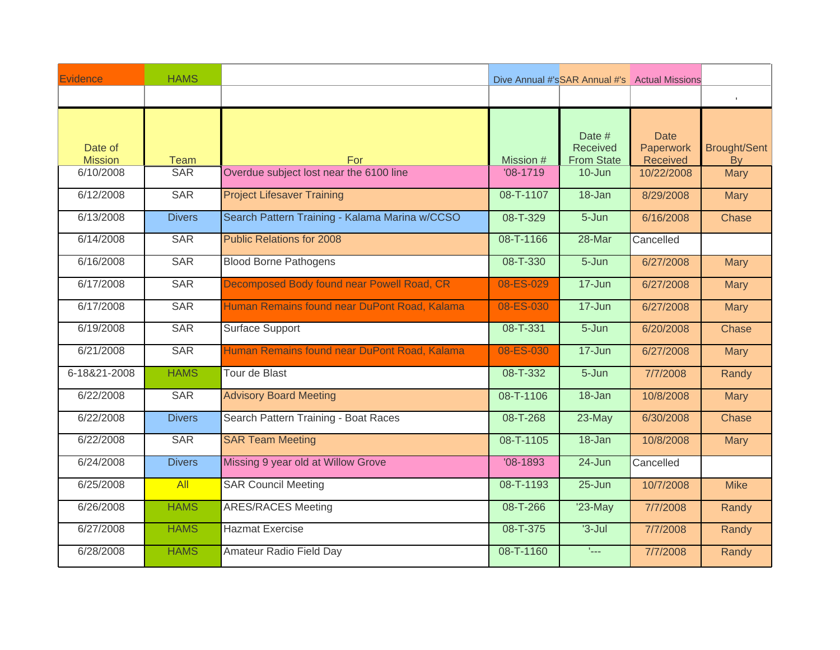| Evidence                  | <b>HAMS</b>      |                                                |            |                                                | Dive Annual #'sSAR Annual #'s Actual Missions |                                  |
|---------------------------|------------------|------------------------------------------------|------------|------------------------------------------------|-----------------------------------------------|----------------------------------|
|                           |                  |                                                |            |                                                |                                               | $\mathbb{F}$                     |
| Date of<br><b>Mission</b> | <b>Team</b>      | <b>For</b>                                     | Mission #  | Date #<br><b>Received</b><br><b>From State</b> | <b>Date</b><br>Paperwork<br>Received          | <b>Brought/Sent</b><br><b>By</b> |
| 6/10/2008                 | <b>SAR</b>       | Overdue subject lost near the 6100 line        | $'08-1719$ | 10-Jun                                         | 10/22/2008                                    | <b>Mary</b>                      |
| 6/12/2008                 | <b>SAR</b>       | <b>Project Lifesaver Training</b>              | 08-T-1107  | 18-Jan                                         | 8/29/2008                                     | <b>Mary</b>                      |
| 6/13/2008                 | <b>Divers</b>    | Search Pattern Training - Kalama Marina w/CCSO | 08-T-329   | 5-Jun                                          | 6/16/2008                                     | Chase                            |
| 6/14/2008                 | <b>SAR</b>       | <b>Public Relations for 2008</b>               | 08-T-1166  | 28-Mar                                         | Cancelled                                     |                                  |
| 6/16/2008                 | <b>SAR</b>       | <b>Blood Borne Pathogens</b>                   | 08-T-330   | $5 - Jun$                                      | 6/27/2008                                     | <b>Mary</b>                      |
| 6/17/2008                 | <b>SAR</b>       | Decomposed Body found near Powell Road, CR     | 08-ES-029  | $17 - Jun$                                     | 6/27/2008                                     | <b>Mary</b>                      |
| 6/17/2008                 | <b>SAR</b>       | Human Remains found near DuPont Road, Kalama   | 08-ES-030  | $17 - Jun$                                     | 6/27/2008                                     | <b>Mary</b>                      |
| 6/19/2008                 | <b>SAR</b>       | <b>Surface Support</b>                         | 08-T-331   | 5-Jun                                          | 6/20/2008                                     | Chase                            |
| 6/21/2008                 | <b>SAR</b>       | Human Remains found near DuPont Road, Kalama   | 08-ES-030  | $17 - Jun$                                     | 6/27/2008                                     | <b>Mary</b>                      |
| 6-18&21-2008              | <b>HAMS</b>      | Tour de Blast                                  | 08-T-332   | $5 - Jun$                                      | 7/7/2008                                      | Randy                            |
| 6/22/2008                 | <b>SAR</b>       | <b>Advisory Board Meeting</b>                  | 08-T-1106  | $18 - Jan$                                     | 10/8/2008                                     | <b>Mary</b>                      |
| 6/22/2008                 | <b>Divers</b>    | Search Pattern Training - Boat Races           | 08-T-268   | 23-May                                         | 6/30/2008                                     | Chase                            |
| 6/22/2008                 | <b>SAR</b>       | <b>SAR Team Meeting</b>                        | 08-T-1105  | $18 - Jan$                                     | 10/8/2008                                     | <b>Mary</b>                      |
| 6/24/2008                 | <b>Divers</b>    | Missing 9 year old at Willow Grove             | $'08-1893$ | 24-Jun                                         | Cancelled                                     |                                  |
| 6/25/2008                 | $\overline{All}$ | <b>SAR Council Meeting</b>                     | 08-T-1193  | $25 - Jun$                                     | 10/7/2008                                     | <b>Mike</b>                      |
| 6/26/2008                 | <b>HAMS</b>      | <b>ARES/RACES Meeting</b>                      | 08-T-266   | $'23-May$                                      | 7/7/2008                                      | Randy                            |
| 6/27/2008                 | <b>HAMS</b>      | <b>Hazmat Exercise</b>                         | 08-T-375   | $3 -$ Jul                                      | 7/7/2008                                      | Randy                            |
| 6/28/2008                 | <b>HAMS</b>      | Amateur Radio Field Day                        | 08-T-1160  | $L_{\rm max}$                                  | 7/7/2008                                      | Randy                            |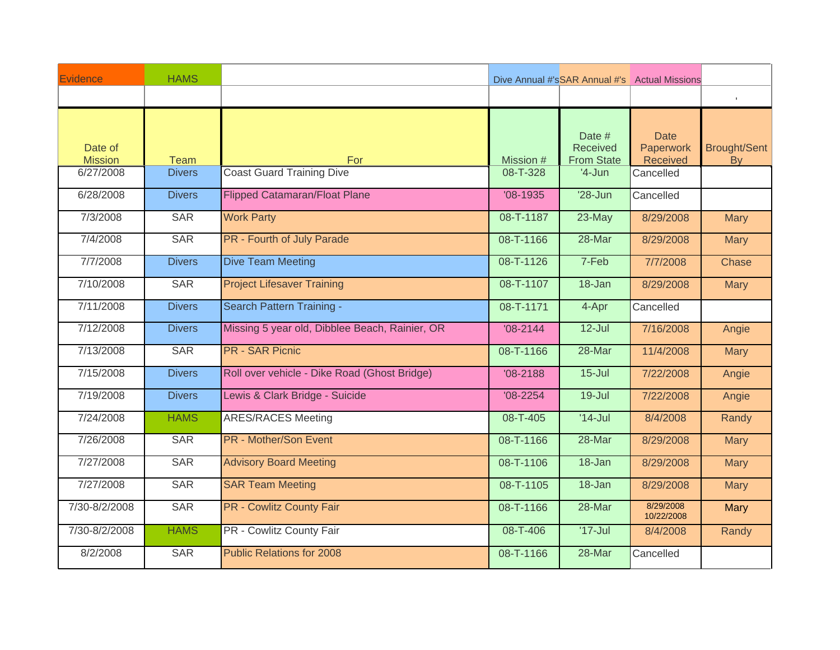| Evidence                  | <b>HAMS</b>   |                                                |              |                                                | Dive Annual #'sSAR Annual #'s Actual Missions |                                  |
|---------------------------|---------------|------------------------------------------------|--------------|------------------------------------------------|-----------------------------------------------|----------------------------------|
|                           |               |                                                |              |                                                |                                               | $\mathbb{F}$                     |
| Date of<br><b>Mission</b> | Team          | For                                            | Mission #    | Date #<br><b>Received</b><br><b>From State</b> | <b>Date</b><br>Paperwork<br>Received          | <b>Brought/Sent</b><br><b>By</b> |
| 6/27/2008                 | <b>Divers</b> | <b>Coast Guard Training Dive</b>               | 08-T-328     | $'4$ -Jun                                      | Cancelled                                     |                                  |
| 6/28/2008                 | <b>Divers</b> | <b>Flipped Catamaran/Float Plane</b>           | $'08-1935$   | $'28$ -Jun                                     | Cancelled                                     |                                  |
| 7/3/2008                  | <b>SAR</b>    | <b>Work Party</b>                              | 08-T-1187    | $23$ -May                                      | 8/29/2008                                     | <b>Mary</b>                      |
| 7/4/2008                  | <b>SAR</b>    | <b>PR - Fourth of July Parade</b>              | 08-T-1166    | 28-Mar                                         | 8/29/2008                                     | <b>Mary</b>                      |
| 7/7/2008                  | <b>Divers</b> | <b>Dive Team Meeting</b>                       | 08-T-1126    | 7-Feb                                          | 7/7/2008                                      | Chase                            |
| 7/10/2008                 | <b>SAR</b>    | <b>Project Lifesaver Training</b>              | 08-T-1107    | $18 - Jan$                                     | 8/29/2008                                     | <b>Mary</b>                      |
| 7/11/2008                 | <b>Divers</b> | Search Pattern Training -                      | 08-T-1171    | 4-Apr                                          | Cancelled                                     |                                  |
| 7/12/2008                 | <b>Divers</b> | Missing 5 year old, Dibblee Beach, Rainier, OR | $'08 - 2144$ | $12$ -Jul                                      | 7/16/2008                                     | Angie                            |
| 7/13/2008                 | <b>SAR</b>    | <b>PR - SAR Picnic</b>                         | 08-T-1166    | 28-Mar                                         | 11/4/2008                                     | <b>Mary</b>                      |
| 7/15/2008                 | <b>Divers</b> | Roll over vehicle - Dike Road (Ghost Bridge)   | $'08 - 2188$ | $15 -$ Jul                                     | 7/22/2008                                     | Angie                            |
| 7/19/2008                 | <b>Divers</b> | Lewis & Clark Bridge - Suicide                 | $'08 - 2254$ | $19 -$ Jul                                     | 7/22/2008                                     | Angie                            |
| 7/24/2008                 | <b>HAMS</b>   | <b>ARES/RACES Meeting</b>                      | 08-T-405     | $'14-Jul$                                      | 8/4/2008                                      | Randy                            |
| 7/26/2008                 | <b>SAR</b>    | <b>PR</b> - Mother/Son Event                   | 08-T-1166    | 28-Mar                                         | 8/29/2008                                     | <b>Mary</b>                      |
| 7/27/2008                 | <b>SAR</b>    | <b>Advisory Board Meeting</b>                  | 08-T-1106    | $18 - Jan$                                     | 8/29/2008                                     | <b>Mary</b>                      |
| 7/27/2008                 | <b>SAR</b>    | <b>SAR Team Meeting</b>                        | 08-T-1105    | $18 - Jan$                                     | 8/29/2008                                     | <b>Mary</b>                      |
| 7/30-8/2/2008             | <b>SAR</b>    | <b>PR - Cowlitz County Fair</b>                | 08-T-1166    | 28-Mar                                         | 8/29/2008<br>10/22/2008                       | Mary                             |
| 7/30-8/2/2008             | <b>HAMS</b>   | PR - Cowlitz County Fair                       | 08-T-406     | $'17 -$ Jul                                    | 8/4/2008                                      | Randy                            |
| 8/2/2008                  | <b>SAR</b>    | <b>Public Relations for 2008</b>               | 08-T-1166    | 28-Mar                                         | Cancelled                                     |                                  |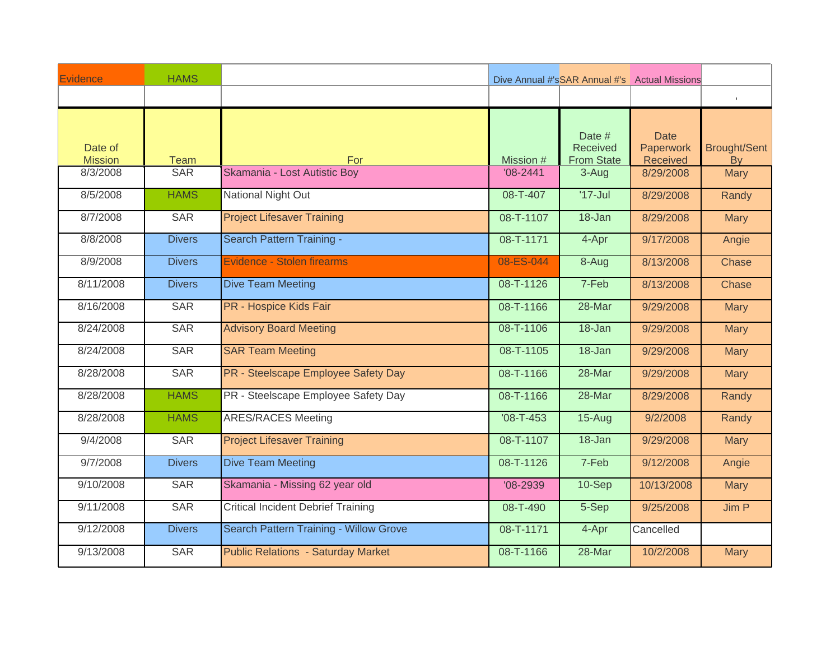| Evidence                  | <b>HAMS</b>   |                                               |                 |                                                | Dive Annual #'sSAR Annual #'s Actual Missions |                                  |
|---------------------------|---------------|-----------------------------------------------|-----------------|------------------------------------------------|-----------------------------------------------|----------------------------------|
|                           |               |                                               |                 |                                                |                                               | $\mathbb{R}^n$                   |
| Date of<br><b>Mission</b> | <b>Team</b>   | For                                           | Mission #       | Date #<br><b>Received</b><br><b>From State</b> | <b>Date</b><br>Paperwork<br>Received          | <b>Brought/Sent</b><br><b>By</b> |
| 8/3/2008                  | <b>SAR</b>    | Skamania - Lost Autistic Boy                  | $'08 - 2441$    | 3-Aug                                          | 8/29/2008                                     | <b>Mary</b>                      |
| 8/5/2008                  | <b>HAMS</b>   | <b>National Night Out</b>                     | 08-T-407        | $'17 -$ Jul                                    | 8/29/2008                                     | Randy                            |
| 8/7/2008                  | <b>SAR</b>    | <b>Project Lifesaver Training</b>             | 08-T-1107       | 18-Jan                                         | 8/29/2008                                     | <b>Mary</b>                      |
| 8/8/2008                  | <b>Divers</b> | Search Pattern Training -                     | 08-T-1171       | 4-Apr                                          | 9/17/2008                                     | Angie                            |
| 8/9/2008                  | <b>Divers</b> | Evidence - Stolen firearms                    | 08-ES-044       | 8-Aug                                          | 8/13/2008                                     | Chase                            |
| 8/11/2008                 | <b>Divers</b> | <b>Dive Team Meeting</b>                      | 08-T-1126       | 7-Feb                                          | 8/13/2008                                     | Chase                            |
| 8/16/2008                 | <b>SAR</b>    | PR - Hospice Kids Fair                        | 08-T-1166       | 28-Mar                                         | 9/29/2008                                     | <b>Mary</b>                      |
| 8/24/2008                 | <b>SAR</b>    | <b>Advisory Board Meeting</b>                 | 08-T-1106       | $18 - Jan$                                     | 9/29/2008                                     | <b>Mary</b>                      |
| 8/24/2008                 | <b>SAR</b>    | <b>SAR Team Meeting</b>                       | 08-T-1105       | $18 - Jan$                                     | 9/29/2008                                     | <b>Mary</b>                      |
| 8/28/2008                 | <b>SAR</b>    | PR - Steelscape Employee Safety Day           | 08-T-1166       | 28-Mar                                         | 9/29/2008                                     | <b>Mary</b>                      |
| 8/28/2008                 | <b>HAMS</b>   | PR - Steelscape Employee Safety Day           | 08-T-1166       | 28-Mar                                         | 8/29/2008                                     | Randy                            |
| 8/28/2008                 | <b>HAMS</b>   | <b>ARES/RACES Meeting</b>                     | $'08 - T - 453$ | $15-Aug$                                       | 9/2/2008                                      | Randy                            |
| 9/4/2008                  | <b>SAR</b>    | <b>Project Lifesaver Training</b>             | 08-T-1107       | $18 - Jan$                                     | 9/29/2008                                     | <b>Mary</b>                      |
| 9/7/2008                  | <b>Divers</b> | <b>Dive Team Meeting</b>                      | 08-T-1126       | 7-Feb                                          | 9/12/2008                                     | Angie                            |
| 9/10/2008                 | <b>SAR</b>    | Skamania - Missing 62 year old                | $'08 - 2939$    | 10-Sep                                         | 10/13/2008                                    | <b>Mary</b>                      |
| 9/11/2008                 | <b>SAR</b>    | <b>Critical Incident Debrief Training</b>     | 08-T-490        | 5-Sep                                          | 9/25/2008                                     | Jim P                            |
| 9/12/2008                 | <b>Divers</b> | <b>Search Pattern Training - Willow Grove</b> | 08-T-1171       | 4-Apr                                          | Cancelled                                     |                                  |
| 9/13/2008                 | <b>SAR</b>    | <b>Public Relations - Saturday Market</b>     | 08-T-1166       | 28-Mar                                         | 10/2/2008                                     | <b>Mary</b>                      |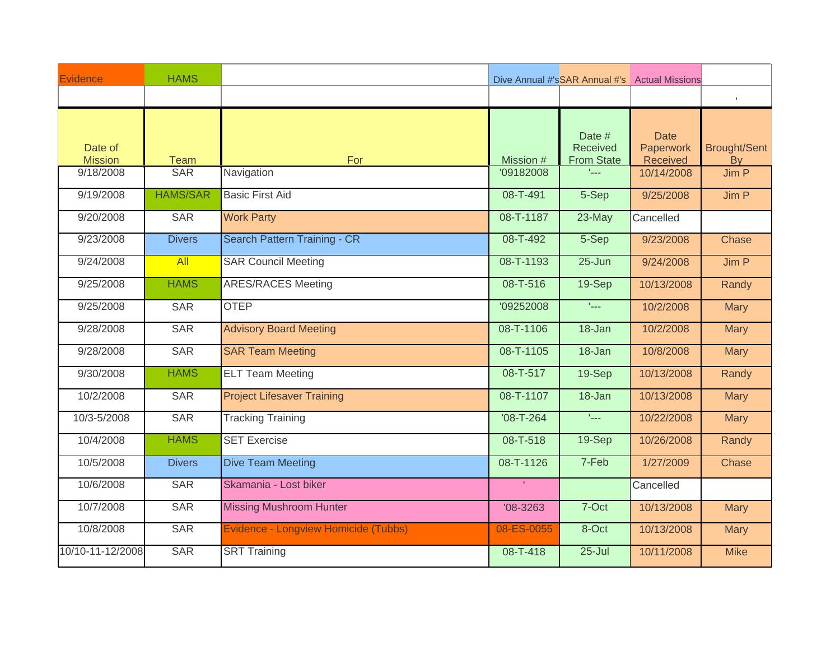| Evidence                  | <b>HAMS</b>     |                                      |                 |                                                | Dive Annual #'sSAR Annual #'s Actual Missions |                                  |
|---------------------------|-----------------|--------------------------------------|-----------------|------------------------------------------------|-----------------------------------------------|----------------------------------|
|                           |                 |                                      |                 |                                                |                                               | $\mathbb{F}$                     |
| Date of<br><b>Mission</b> | <b>Team</b>     | For                                  | Mission #       | Date #<br><b>Received</b><br><b>From State</b> | <b>Date</b><br>Paperwork<br>Received          | <b>Brought/Sent</b><br><b>By</b> |
| 9/18/2008                 | <b>SAR</b>      | Navigation                           | '09182008       | tica.                                          | 10/14/2008                                    | Jim P                            |
| 9/19/2008                 | <b>HAMS/SAR</b> | <b>Basic First Aid</b>               | 08-T-491        | 5-Sep                                          | 9/25/2008                                     | Jim P                            |
| 9/20/2008                 | <b>SAR</b>      | <b>Work Party</b>                    | 08-T-1187       | $23$ -May                                      | Cancelled                                     |                                  |
| 9/23/2008                 | <b>Divers</b>   | Search Pattern Training - CR         | 08-T-492        | 5-Sep                                          | 9/23/2008                                     | Chase                            |
| 9/24/2008                 | All             | <b>SAR Council Meeting</b>           | 08-T-1193       | $25 - Jun$                                     | 9/24/2008                                     | Jim P                            |
| 9/25/2008                 | <b>HAMS</b>     | <b>ARES/RACES Meeting</b>            | 08-T-516        | <b>19-Sep</b>                                  | 10/13/2008                                    | Randy                            |
| 9/25/2008                 | <b>SAR</b>      | <b>OTEP</b>                          | '09252008       | $\mathbf{I}_{\text{max}}$                      | 10/2/2008                                     | <b>Mary</b>                      |
| 9/28/2008                 | <b>SAR</b>      | <b>Advisory Board Meeting</b>        | 08-T-1106       | 18-Jan                                         | 10/2/2008                                     | <b>Mary</b>                      |
| 9/28/2008                 | <b>SAR</b>      | <b>SAR Team Meeting</b>              | 08-T-1105       | 18-Jan                                         | 10/8/2008                                     | <b>Mary</b>                      |
| 9/30/2008                 | <b>HAMS</b>     | <b>ELT Team Meeting</b>              | 08-T-517        | 19-Sep                                         | 10/13/2008                                    | Randy                            |
| 10/2/2008                 | <b>SAR</b>      | <b>Project Lifesaver Training</b>    | 08-T-1107       | 18-Jan                                         | 10/13/2008                                    | <b>Mary</b>                      |
| 10/3-5/2008               | <b>SAR</b>      | <b>Tracking Training</b>             | $'08 - T - 264$ | $\epsilon_{\rm max}$                           | 10/22/2008                                    | <b>Mary</b>                      |
| 10/4/2008                 | <b>HAMS</b>     | <b>SET Exercise</b>                  | 08-T-518        | <b>19-Sep</b>                                  | 10/26/2008                                    | Randy                            |
| 10/5/2008                 | <b>Divers</b>   | <b>Dive Team Meeting</b>             | 08-T-1126       | 7-Feb                                          | 1/27/2009                                     | Chase                            |
| 10/6/2008                 | <b>SAR</b>      | Skamania - Lost biker                |                 |                                                | Cancelled                                     |                                  |
| 10/7/2008                 | <b>SAR</b>      | <b>Missing Mushroom Hunter</b>       | $'08 - 3263$    | 7-Oct                                          | 10/13/2008                                    | <b>Mary</b>                      |
| 10/8/2008                 | <b>SAR</b>      | Evidence - Longview Homicide (Tubbs) | 08-ES-0055      | 8-Oct                                          | 10/13/2008                                    | <b>Mary</b>                      |
| 10/10-11-12/2008          | <b>SAR</b>      | <b>SRT Training</b>                  | 08-T-418        | $25 -$ Jul                                     | 10/11/2008                                    | <b>Mike</b>                      |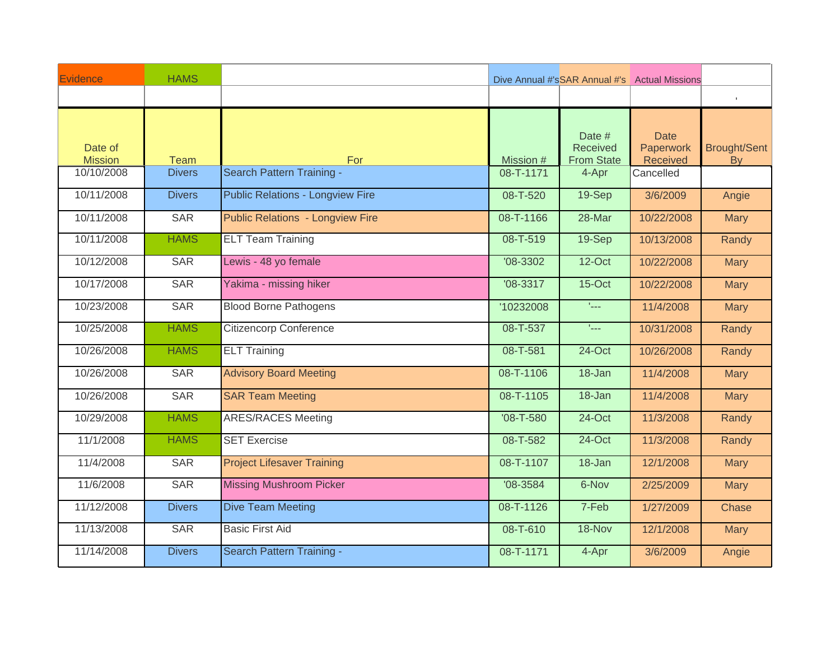| Evidence                  | <b>HAMS</b>   |                                         |                 |                                                | Dive Annual #'sSAR Annual #'s Actual Missions |                                  |
|---------------------------|---------------|-----------------------------------------|-----------------|------------------------------------------------|-----------------------------------------------|----------------------------------|
|                           |               |                                         |                 |                                                |                                               | $\mathbb{F}$                     |
| Date of<br><b>Mission</b> | <b>Team</b>   | For                                     | Mission #       | Date #<br><b>Received</b><br><b>From State</b> | <b>Date</b><br>Paperwork<br>Received          | <b>Brought/Sent</b><br><b>By</b> |
| 10/10/2008                | <b>Divers</b> | Search Pattern Training -               | 08-T-1171       | 4-Apr                                          | Cancelled                                     |                                  |
| 10/11/2008                | <b>Divers</b> | <b>Public Relations - Longview Fire</b> | 08-T-520        | $19-Sep$                                       | 3/6/2009                                      | Angie                            |
| 10/11/2008                | <b>SAR</b>    | <b>Public Relations - Longview Fire</b> | 08-T-1166       | 28-Mar                                         | 10/22/2008                                    | <b>Mary</b>                      |
| 10/11/2008                | <b>HAMS</b>   | <b>ELT Team Training</b>                | 08-T-519        | 19-Sep                                         | 10/13/2008                                    | Randy                            |
| 10/12/2008                | <b>SAR</b>    | Lewis - 48 yo female                    | $'08 - 3302$    | $12$ -Oct                                      | 10/22/2008                                    | <b>Mary</b>                      |
| 10/17/2008                | <b>SAR</b>    | Yakima - missing hiker                  | $'08 - 3317$    | $15$ -Oct                                      | 10/22/2008                                    | <b>Mary</b>                      |
| 10/23/2008                | <b>SAR</b>    | <b>Blood Borne Pathogens</b>            | '10232008       | $\mathcal{L}_{\text{max}}$                     | 11/4/2008                                     | <b>Mary</b>                      |
| 10/25/2008                | <b>HAMS</b>   | <b>Citizencorp Conference</b>           | $08 - T - 537$  | $L_{\rm max}$                                  | 10/31/2008                                    | Randy                            |
| 10/26/2008                | <b>HAMS</b>   | <b>ELT Training</b>                     | 08-T-581        | $24$ -Oct                                      | 10/26/2008                                    | Randy                            |
| 10/26/2008                | <b>SAR</b>    | <b>Advisory Board Meeting</b>           | 08-T-1106       | 18-Jan                                         | 11/4/2008                                     | <b>Mary</b>                      |
| 10/26/2008                | <b>SAR</b>    | <b>SAR Team Meeting</b>                 | 08-T-1105       | $18 - Jan$                                     | 11/4/2008                                     | <b>Mary</b>                      |
| 10/29/2008                | <b>HAMS</b>   | <b>ARES/RACES Meeting</b>               | $'08 - T - 580$ | 24-Oct                                         | 11/3/2008                                     | Randy                            |
| 11/1/2008                 | <b>HAMS</b>   | <b>SET Exercise</b>                     | 08-T-582        | $24$ -Oct                                      | 11/3/2008                                     | Randy                            |
| 11/4/2008                 | <b>SAR</b>    | <b>Project Lifesaver Training</b>       | 08-T-1107       | 18-Jan                                         | 12/1/2008                                     | <b>Mary</b>                      |
| 11/6/2008                 | <b>SAR</b>    | <b>Missing Mushroom Picker</b>          | $'08 - 3584$    | 6-Nov                                          | 2/25/2009                                     | <b>Mary</b>                      |
| 11/12/2008                | <b>Divers</b> | <b>Dive Team Meeting</b>                | 08-T-1126       | 7-Feb                                          | 1/27/2009                                     | Chase                            |
| 11/13/2008                | <b>SAR</b>    | <b>Basic First Aid</b>                  | 08-T-610        | 18-Nov                                         | 12/1/2008                                     | <b>Mary</b>                      |
| 11/14/2008                | <b>Divers</b> | Search Pattern Training -               | 08-T-1171       | 4-Apr                                          | 3/6/2009                                      | Angie                            |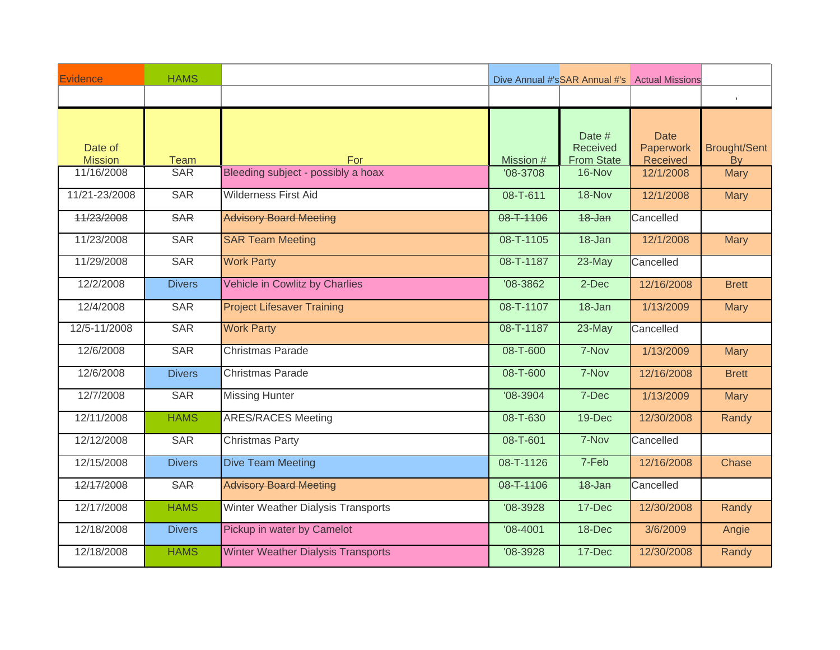| Evidence                     | <b>HAMS</b>               |                                           |                         |                             | Dive Annual #'sSAR Annual #'s Actual Missions |                          |
|------------------------------|---------------------------|-------------------------------------------|-------------------------|-----------------------------|-----------------------------------------------|--------------------------|
|                              |                           |                                           |                         |                             |                                               | $\mathbb{F}$             |
| Date of                      |                           |                                           |                         | Date $#$<br><b>Received</b> | <b>Date</b><br>Paperwork                      | <b>Brought/Sent</b>      |
| <b>Mission</b><br>11/16/2008 | <b>Team</b><br><b>SAR</b> | For<br>Bleeding subject - possibly a hoax | Mission #<br>$'08-3708$ | <b>From State</b><br>16-Nov | Received<br>12/1/2008                         | <b>By</b><br><b>Mary</b> |
|                              |                           |                                           |                         |                             |                                               |                          |
| 11/21-23/2008                | <b>SAR</b>                | <b>Wilderness First Aid</b>               | 08-T-611                | 18-Nov                      | 12/1/2008                                     | <b>Mary</b>              |
| 11/23/2008                   | <b>SAR</b>                | <b>Advisory Board Meeting</b>             | 08-T-1106               | 18-Jan                      | Cancelled                                     |                          |
| 11/23/2008                   | <b>SAR</b>                | <b>SAR Team Meeting</b>                   | 08-T-1105               | 18-Jan                      | 12/1/2008                                     | <b>Mary</b>              |
| 11/29/2008                   | <b>SAR</b>                | <b>Work Party</b>                         | 08-T-1187               | $23$ -May                   | Cancelled                                     |                          |
| 12/2/2008                    | <b>Divers</b>             | Vehicle in Cowlitz by Charlies            | $'08 - 3862$            | $2$ -Dec                    | 12/16/2008                                    | <b>Brett</b>             |
| 12/4/2008                    | <b>SAR</b>                | <b>Project Lifesaver Training</b>         | 08-T-1107               | 18-Jan                      | 1/13/2009                                     | <b>Mary</b>              |
| 12/5-11/2008                 | <b>SAR</b>                | <b>Work Party</b>                         | 08-T-1187               | $23$ -May                   | Cancelled                                     |                          |
| 12/6/2008                    | <b>SAR</b>                | <b>Christmas Parade</b>                   | 08-T-600                | 7-Nov                       | 1/13/2009                                     | <b>Mary</b>              |
| 12/6/2008                    | <b>Divers</b>             | <b>Christmas Parade</b>                   | 08-T-600                | 7-Nov                       | 12/16/2008                                    | <b>Brett</b>             |
| 12/7/2008                    | <b>SAR</b>                | <b>Missing Hunter</b>                     | $'08 - 3904$            | 7-Dec                       | 1/13/2009                                     | <b>Mary</b>              |
| 12/11/2008                   | <b>HAMS</b>               | <b>ARES/RACES Meeting</b>                 | 08-T-630                | 19-Dec                      | 12/30/2008                                    | Randy                    |
| 12/12/2008                   | <b>SAR</b>                | <b>Christmas Party</b>                    | 08-T-601                | 7-Nov                       | Cancelled                                     |                          |
| 12/15/2008                   | <b>Divers</b>             | <b>Dive Team Meeting</b>                  | 08-T-1126               | 7-Feb                       | 12/16/2008                                    | Chase                    |
| 12/17/2008                   | <b>SAR</b>                | <b>Advisory Board Meeting</b>             | 08-T-1106               | 18-Jan                      | Cancelled                                     |                          |
| 12/17/2008                   | <b>HAMS</b>               | Winter Weather Dialysis Transports        | $'08-3928$              | 17-Dec                      | 12/30/2008                                    | Randy                    |
| 12/18/2008                   | <b>Divers</b>             | Pickup in water by Camelot                | $'08 - 4001$            | 18-Dec                      | 3/6/2009                                      | Angie                    |
| 12/18/2008                   | <b>HAMS</b>               | <b>Winter Weather Dialysis Transports</b> | $'08-3928$              | 17-Dec                      | 12/30/2008                                    | Randy                    |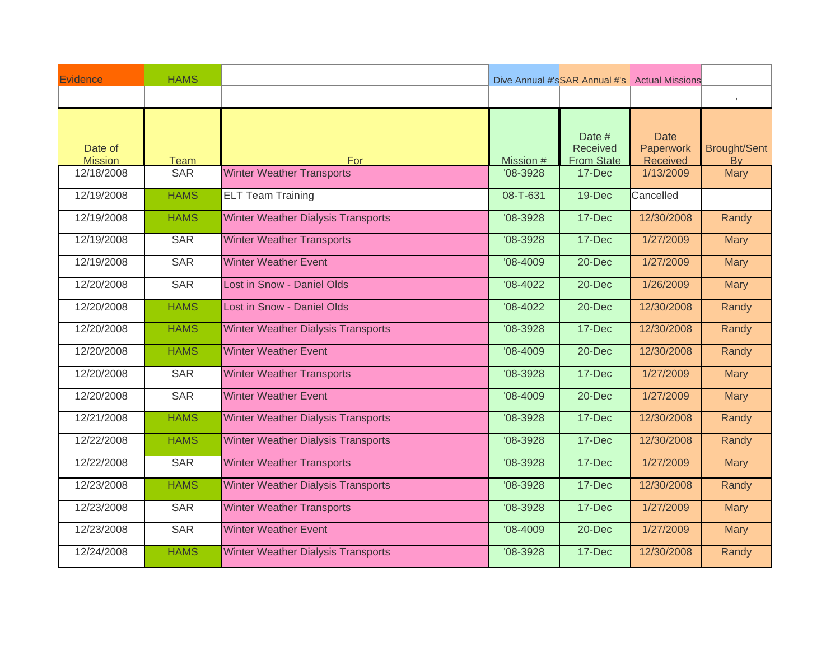| Evidence                     | <b>HAMS</b>               |                                           |                         |                             | Dive Annual #'sSAR Annual #'s Actual Missions |                          |
|------------------------------|---------------------------|-------------------------------------------|-------------------------|-----------------------------|-----------------------------------------------|--------------------------|
|                              |                           |                                           |                         |                             |                                               | $\mathbb{R}$             |
| Date of                      |                           |                                           |                         | Date #<br>Received          | <b>Date</b><br>Paperwork                      | <b>Brought/Sent</b>      |
| <b>Mission</b><br>12/18/2008 | <b>Team</b><br><b>SAR</b> | For<br><b>Winter Weather Transports</b>   | Mission #<br>$'08-3928$ | <b>From State</b><br>17-Dec | Received<br>1/13/2009                         | <b>By</b><br><b>Mary</b> |
|                              |                           |                                           |                         |                             |                                               |                          |
| 12/19/2008                   | <b>HAMS</b>               | <b>ELT Team Training</b>                  | 08-T-631                | 19-Dec                      | Cancelled                                     |                          |
| 12/19/2008                   | <b>HAMS</b>               | <b>Winter Weather Dialysis Transports</b> | $'08-3928$              | 17-Dec                      | 12/30/2008                                    | Randy                    |
| 12/19/2008                   | <b>SAR</b>                | <b>Winter Weather Transports</b>          | $'08-3928$              | 17-Dec                      | 1/27/2009                                     | <b>Mary</b>              |
| 12/19/2008                   | <b>SAR</b>                | <b>Winter Weather Event</b>               | $'08 - 4009$            | 20-Dec                      | 1/27/2009                                     | <b>Mary</b>              |
| 12/20/2008                   | <b>SAR</b>                | <b>Lost in Snow - Daniel Olds</b>         | $'08 - 4022$            | 20-Dec                      | 1/26/2009                                     | <b>Mary</b>              |
| 12/20/2008                   | <b>HAMS</b>               | Lost in Snow - Daniel Olds                | $'08 - 4022$            | 20-Dec                      | 12/30/2008                                    | Randy                    |
| 12/20/2008                   | <b>HAMS</b>               | <b>Winter Weather Dialysis Transports</b> | $'08-3928$              | 17-Dec                      | 12/30/2008                                    | Randy                    |
| 12/20/2008                   | <b>HAMS</b>               | <b>Winter Weather Event</b>               | $'08 - 4009$            | $20 - Dec$                  | 12/30/2008                                    | Randy                    |
| 12/20/2008                   | <b>SAR</b>                | <b>Winter Weather Transports</b>          | $'08-3928$              | 17-Dec                      | 1/27/2009                                     | <b>Mary</b>              |
| 12/20/2008                   | <b>SAR</b>                | <b>Winter Weather Event</b>               | $'08 - 4009$            | $20 - Dec$                  | 1/27/2009                                     | <b>Mary</b>              |
| 12/21/2008                   | <b>HAMS</b>               | <b>Winter Weather Dialysis Transports</b> | $'08 - 3928$            | 17-Dec                      | 12/30/2008                                    | Randy                    |
| 12/22/2008                   | <b>HAMS</b>               | <b>Winter Weather Dialysis Transports</b> | $'08-3928$              | 17-Dec                      | 12/30/2008                                    | Randy                    |
| 12/22/2008                   | <b>SAR</b>                | <b>Winter Weather Transports</b>          | $'08-3928$              | 17-Dec                      | 1/27/2009                                     | <b>Mary</b>              |
| 12/23/2008                   | <b>HAMS</b>               | <b>Winter Weather Dialysis Transports</b> | $'08-3928$              | 17-Dec                      | 12/30/2008                                    | Randy                    |
| 12/23/2008                   | <b>SAR</b>                | <b>Winter Weather Transports</b>          | $'08-3928$              | 17-Dec                      | 1/27/2009                                     | <b>Mary</b>              |
| 12/23/2008                   | <b>SAR</b>                | <b>Winter Weather Event</b>               | $'08 - 4009$            | 20-Dec                      | 1/27/2009                                     | <b>Mary</b>              |
| 12/24/2008                   | <b>HAMS</b>               | <b>Winter Weather Dialysis Transports</b> | $'08-3928$              | 17-Dec                      | 12/30/2008                                    | Randy                    |